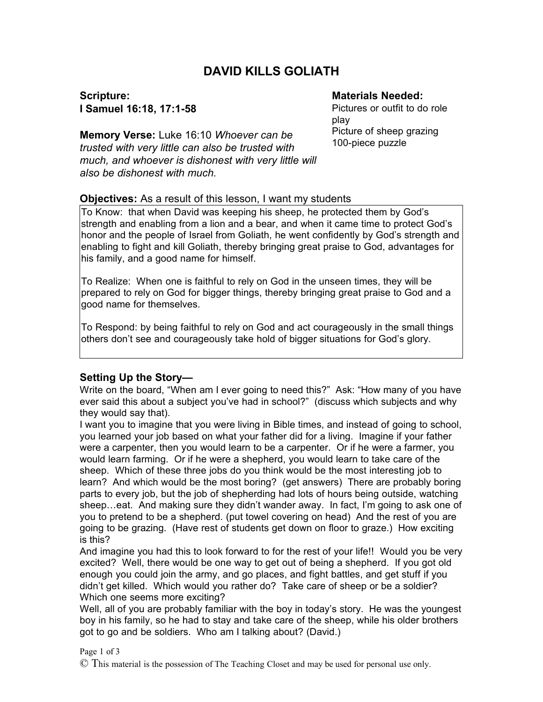# **DAVID KILLS GOLIATH**

**Scripture: I Samuel 16:18, 17:1-58**

### **Materials Needed:**

Pictures or outfit to do role play Picture of sheep grazing 100-piece puzzle

**Memory Verse:** Luke 16:10 *Whoever can be trusted with very little can also be trusted with much, and whoever is dishonest with very little will also be dishonest with much.*

### **Objectives:** As a result of this lesson, I want my students

To Know: that when David was keeping his sheep, he protected them by God's strength and enabling from a lion and a bear, and when it came time to protect God's honor and the people of Israel from Goliath, he went confidently by God's strength and enabling to fight and kill Goliath, thereby bringing great praise to God, advantages for his family, and a good name for himself.

To Realize: When one is faithful to rely on God in the unseen times, they will be prepared to rely on God for bigger things, thereby bringing great praise to God and a good name for themselves.

To Respond: by being faithful to rely on God and act courageously in the small things others don't see and courageously take hold of bigger situations for God's glory.

#### **Setting Up the Story—**

Write on the board, "When am I ever going to need this?" Ask: "How many of you have ever said this about a subject you've had in school?" (discuss which subjects and why they would say that).

I want you to imagine that you were living in Bible times, and instead of going to school, you learned your job based on what your father did for a living. Imagine if your father were a carpenter, then you would learn to be a carpenter. Or if he were a farmer, you would learn farming. Or if he were a shepherd, you would learn to take care of the sheep. Which of these three jobs do you think would be the most interesting job to learn? And which would be the most boring? (get answers) There are probably boring parts to every job, but the job of shepherding had lots of hours being outside, watching sheep…eat. And making sure they didn't wander away. In fact, I'm going to ask one of you to pretend to be a shepherd. (put towel covering on head) And the rest of you are going to be grazing. (Have rest of students get down on floor to graze.) How exciting is this?

And imagine you had this to look forward to for the rest of your life!! Would you be very excited? Well, there would be one way to get out of being a shepherd. If you got old enough you could join the army, and go places, and fight battles, and get stuff if you didn't get killed. Which would you rather do? Take care of sheep or be a soldier? Which one seems more exciting?

Well, all of you are probably familiar with the boy in today's story. He was the youngest boy in his family, so he had to stay and take care of the sheep, while his older brothers got to go and be soldiers. Who am I talking about? (David.)

#### Page 1 of 3

© This material is the possession of The Teaching Closet and may be used for personal use only.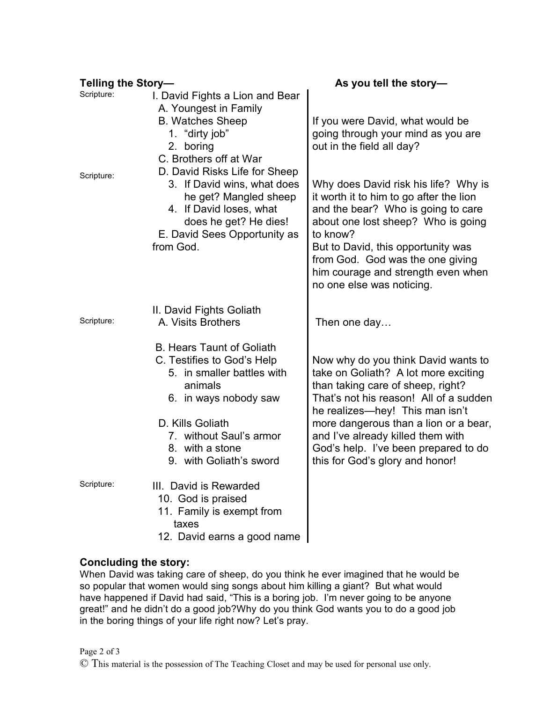| Telling the Story- |                                                                                                                                                                                                                               | As you tell the story-                                                                                                                                                                                                                                                                                                                                 |
|--------------------|-------------------------------------------------------------------------------------------------------------------------------------------------------------------------------------------------------------------------------|--------------------------------------------------------------------------------------------------------------------------------------------------------------------------------------------------------------------------------------------------------------------------------------------------------------------------------------------------------|
| Scripture:         | I. David Fights a Lion and Bear<br>A. Youngest in Family<br><b>B. Watches Sheep</b><br>1. "dirty job"<br>2. boring<br>C. Brothers off at War                                                                                  | If you were David, what would be<br>going through your mind as you are<br>out in the field all day?                                                                                                                                                                                                                                                    |
| Scripture:         | D. David Risks Life for Sheep<br>3. If David wins, what does<br>he get? Mangled sheep<br>4. If David loses, what<br>does he get? He dies!<br>E. David Sees Opportunity as<br>from God.                                        | Why does David risk his life? Why is<br>it worth it to him to go after the lion<br>and the bear? Who is going to care<br>about one lost sheep? Who is going<br>to know?<br>But to David, this opportunity was<br>from God. God was the one giving<br>him courage and strength even when<br>no one else was noticing.                                   |
| Scripture:         | II. David Fights Goliath<br>A. Visits Brothers                                                                                                                                                                                | Then one day                                                                                                                                                                                                                                                                                                                                           |
|                    | <b>B. Hears Taunt of Goliath</b><br>C. Testifies to God's Help<br>5. in smaller battles with<br>animals<br>6. in ways nobody saw<br>D. Kills Goliath<br>7. without Saul's armor<br>8. with a stone<br>9. with Goliath's sword | Now why do you think David wants to<br>take on Goliath? A lot more exciting<br>than taking care of sheep, right?<br>That's not his reason! All of a sudden<br>he realizes—hey! This man isn't<br>more dangerous than a lion or a bear,<br>and I've already killed them with<br>God's help. I've been prepared to do<br>this for God's glory and honor! |
| Scripture:         | III. David is Rewarded<br>10. God is praised<br>11. Family is exempt from<br>taxes<br>12. David earns a good name                                                                                                             |                                                                                                                                                                                                                                                                                                                                                        |

## **Concluding the story:**

When David was taking care of sheep, do you think he ever imagined that he would be so popular that women would sing songs about him killing a giant? But what would have happened if David had said, "This is a boring job. I'm never going to be anyone great!" and he didn't do a good job?Why do you think God wants you to do a good job in the boring things of your life right now? Let's pray.

© This material is the possession of The Teaching Closet and may be used for personal use only.